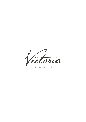Victoria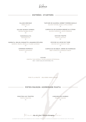

## ENTRÉES - STARTERS

SALADE GRECQUE GREEK SALAD  $20$ 

SALADE QUINOA GAMBAS QUINOA GAMBAS SALAD 30

> TARAMASALATA TARAMASALATA 16

BURRATA, MELON, ROQUETTE, AMANDES ÉFFILÉES BURRATA, MELON, ARUGULA, FLAKED ALMONDS

23

ASPERGES ROMESCO ROMESCO ASPARAGUS

 $24$ 

TARTARE DE SAUMON, SORBET POMMES BASILIC SALMON TARTARE, BASILIC APPLE SORBET  $26$ 

CARPACCIO DE SAUMON DRESSÉ AU CITRON SALMON CARPACCIO, LEMON DRESSING  $\overline{3}2$ 

> CEVICHE TRUFFÉ TRUFFLE CEVICHE 34

CEVICHE AU LECHE DE TIGRE CEVICHE WITH LECHE DE TIGRE  $22$ 

CARPACCIO DE BŒUF, CRÈME DE PARMESAN BEEF CARPACCIO, PARMESAN CREAM 25

CAVIAR

OSSETRA TSAR IMPÉRIAL CAVIAR «MAISON PETROSSIAN» 800 / 125GR (SELON DISPONIBILITÉ)

FOOD "À LA MINUTE" - DELIVERED WHEN IS READY

## PÂTES MAISON - HOMEMADE PASTA

RIGATONI AUX TRUFFES TRUFFLE RIGATONI 45

LINGUINE AUX GAMBAS PRAWNS LINGUINE 56

IianoByour Chef Viannis Kiorogroulou